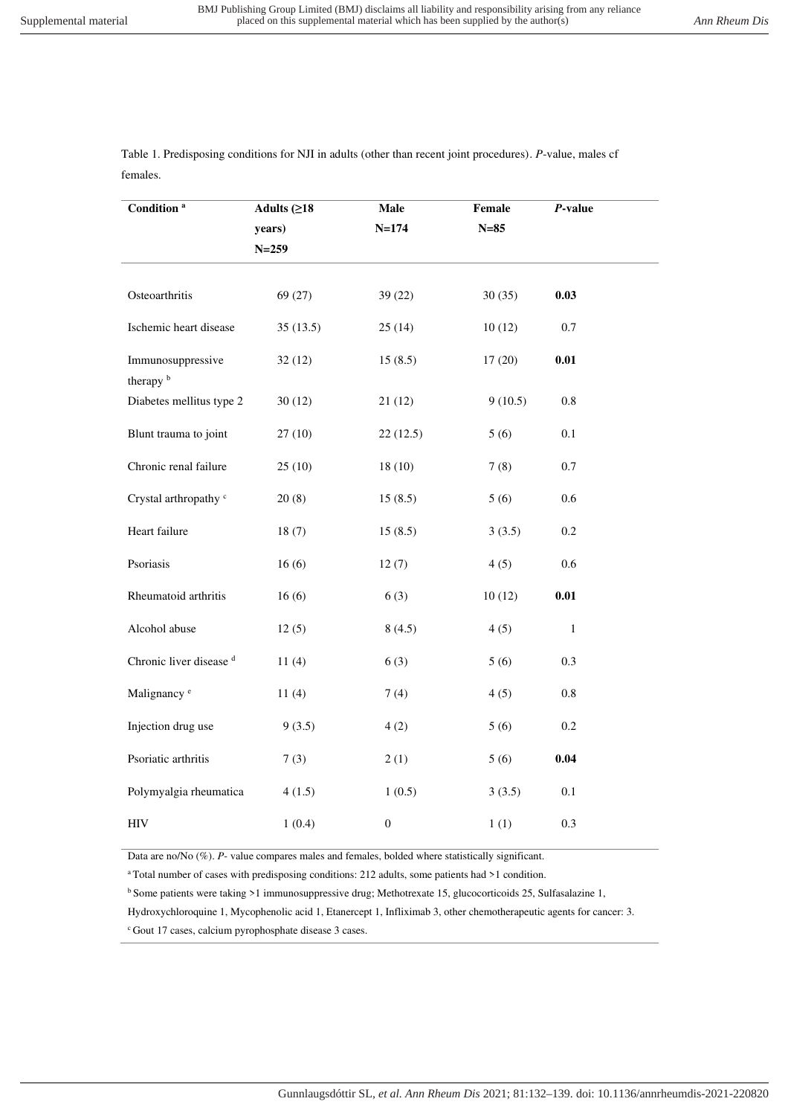Table 1. Predisposing conditions for NJI in adults (other than recent joint procedures). *P*-value, males cf females.

| Condition <sup>a</sup>           | Adults $(≥18)$ | Male             | Female  | $P$ -value   |  |
|----------------------------------|----------------|------------------|---------|--------------|--|
|                                  | years)         | $N = 174$        | $N=85$  |              |  |
|                                  | $N = 259$      |                  |         |              |  |
|                                  |                |                  |         |              |  |
| Osteoarthritis                   | 69(27)         | 39(22)           | 30(35)  | 0.03         |  |
| Ischemic heart disease           | 35(13.5)       | 25(14)           | 10(12)  | 0.7          |  |
| Immunosuppressive<br>therapy b   | 32(12)         | 15(8.5)          | 17(20)  | 0.01         |  |
| Diabetes mellitus type 2         | 30(12)         | 21(12)           | 9(10.5) | $0.8\,$      |  |
| Blunt trauma to joint            | 27(10)         | 22(12.5)         | 5(6)    | 0.1          |  |
| Chronic renal failure            | 25(10)         | 18(10)           | 7(8)    | 0.7          |  |
| Crystal arthropathy <sup>c</sup> | 20(8)          | 15(8.5)          | 5(6)    | 0.6          |  |
| Heart failure                    | 18(7)          | 15(8.5)          | 3(3.5)  | 0.2          |  |
| Psoriasis                        | 16(6)          | 12(7)            | 4(5)    | 0.6          |  |
| Rheumatoid arthritis             | 16(6)          | 6(3)             | 10(12)  | 0.01         |  |
| Alcohol abuse                    | 12(5)          | 8(4.5)           | 4(5)    | $\mathbf{1}$ |  |
| Chronic liver disease d          | 11(4)          | 6(3)             | 5(6)    | 0.3          |  |
| Malignancy <sup>e</sup>          | 11(4)          | 7(4)             | 4(5)    | $0.8\,$      |  |
| Injection drug use               | 9(3.5)         | 4(2)             | 5(6)    | 0.2          |  |
| Psoriatic arthritis              | 7(3)           | 2(1)             | 5(6)    | 0.04         |  |
| Polymyalgia rheumatica           | 4(1.5)         | 1(0.5)           | 3(3.5)  | 0.1          |  |
| $\rm{HIV}$                       | 1(0.4)         | $\boldsymbol{0}$ | 1(1)    | 0.3          |  |

Data are no/No (%). P- value compares males and females, bolded where statistically significant.

<sup>a</sup>Total number of cases with predisposing conditions: 212 adults, some patients had >1 condition.

<sup>b</sup> Some patients were taking >1 immunosuppressive drug; Methotrexate 15, glucocorticoids 25, Sulfasalazine 1,

Hydroxychloroquine 1, Mycophenolic acid 1, Etanercept 1, Infliximab 3, other chemotherapeutic agents for cancer: 3.

<sup>c</sup> Gout 17 cases, calcium pyrophosphate disease 3 cases.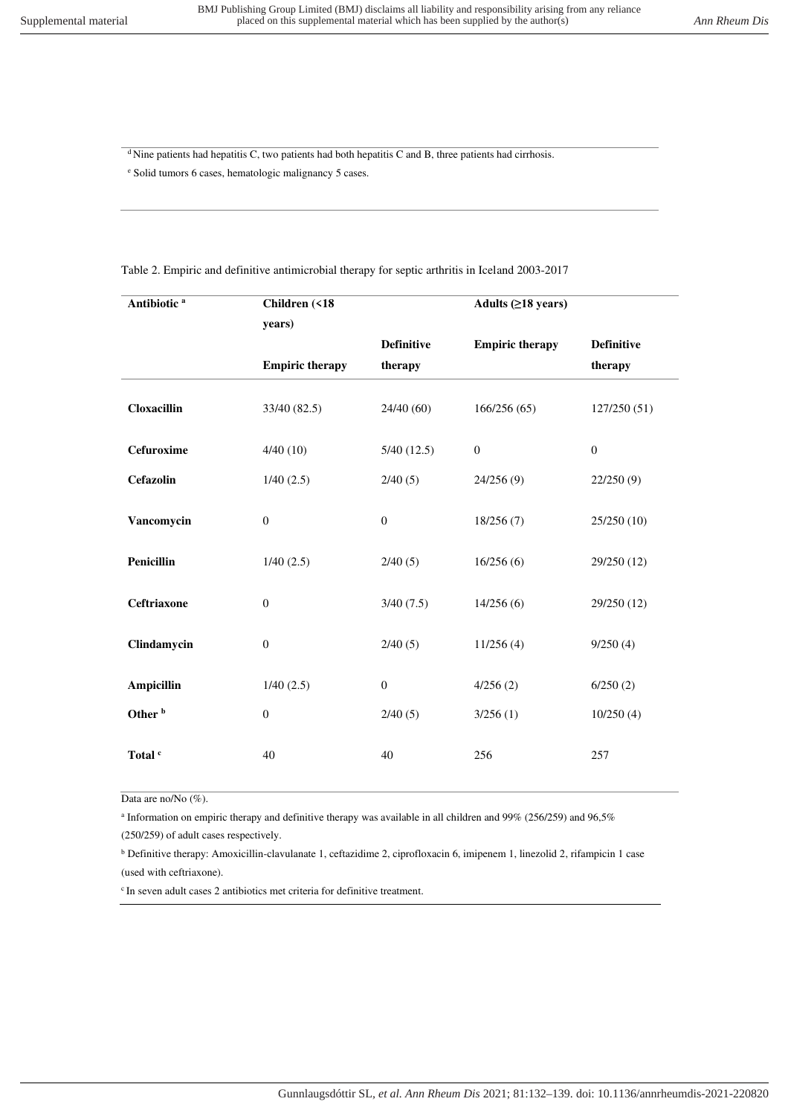$\frac{d}{dx}$ Nine patients had hepatitis C, two patients had both hepatitis C and B, three patients had cirrhosis.

e Solid tumors 6 cases, hematologic malignancy 5 cases.

| Antibiotic <sup>a</sup> | Children (<18          |                   | Adults $(≥18 \text{ years})$ |                   |
|-------------------------|------------------------|-------------------|------------------------------|-------------------|
|                         | years)                 | <b>Definitive</b> | <b>Empiric therapy</b>       | <b>Definitive</b> |
|                         | <b>Empiric therapy</b> | therapy           |                              | therapy           |
| <b>Cloxacillin</b>      | 33/40 (82.5)           | 24/40(60)         | 166/256(65)                  | 127/250(51)       |
| Cefuroxime              | 4/40(10)               | 5/40(12.5)        | $\boldsymbol{0}$             | $\mathbf{0}$      |
| Cefazolin               | 1/40(2.5)              | 2/40(5)           | 24/256(9)                    | 22/250(9)         |
| Vancomycin              | $\overline{0}$         | $\boldsymbol{0}$  | 18/256(7)                    | 25/250 (10)       |
| Penicillin              | 1/40(2.5)              | 2/40(5)           | 16/256(6)                    | 29/250 (12)       |
| Ceftriaxone             | $\boldsymbol{0}$       | 3/40(7.5)         | 14/256(6)                    | 29/250 (12)       |
| Clindamycin             | $\overline{0}$         | 2/40(5)           | 11/256(4)                    | 9/250(4)          |
| <b>Ampicillin</b>       | 1/40(2.5)              | $\mathbf{0}$      | 4/256(2)                     | 6/250(2)          |
| Other <sup>b</sup>      | $\overline{0}$         | 2/40(5)           | 3/256(1)                     | 10/250(4)         |
| Total <sup>c</sup>      | 40                     | 40                | 256                          | 257               |

Table 2. Empiric and definitive antimicrobial therapy for septic arthritis in Iceland 2003-2017

Data are no/No (%).

a Information on empiric therapy and definitive therapy was available in all children and 99% (256/259) and 96,5%

(250/259) of adult cases respectively.

<sup>b</sup> Definitive therapy: Amoxicillin-clavulanate 1, ceftazidime 2, ciprofloxacin 6, imipenem 1, linezolid 2, rifampicin 1 case (used with ceftriaxone).

 $c$ In seven adult cases 2 antibiotics met criteria for definitive treatment.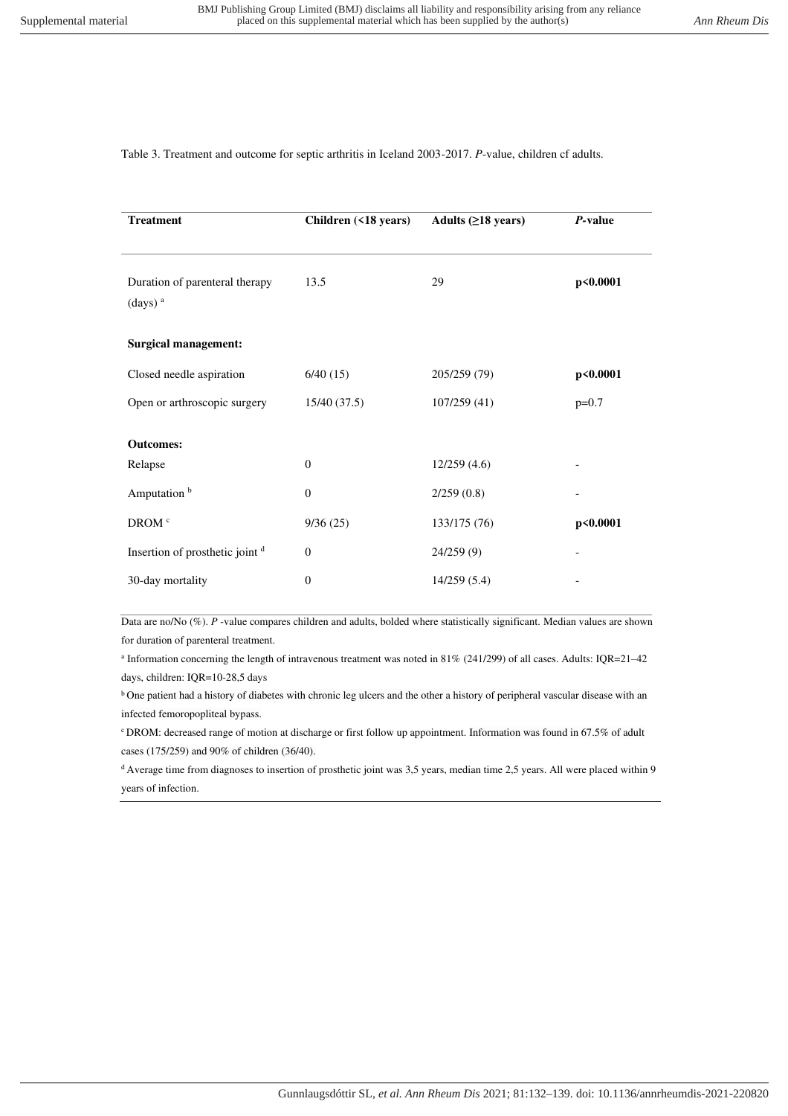## Table 3. Treatment and outcome for septic arthritis in Iceland 2003-2017. *P*-value, children cf adults.

| Children (<18 years) | Adults $(≥18 \text{ years})$ | P-value  |
|----------------------|------------------------------|----------|
| 13.5                 | 29                           | p<0.0001 |
|                      |                              |          |
| 6/40(15)             | 205/259 (79)                 | p<0.0001 |
| 15/40(37.5)          | 107/259 (41)                 | $p=0.7$  |
|                      |                              |          |
| $\mathbf{0}$         | 12/259(4.6)                  |          |
| $\theta$             | 2/259(0.8)                   |          |
| 9/36(25)             | 133/175 (76)                 | p<0.0001 |
| $\mathbf{0}$         | 24/259(9)                    |          |
| $\boldsymbol{0}$     | 14/259(5.4)                  |          |
|                      |                              |          |

Data are no/No (%). *P* -value compares children and adults, bolded where statistically significant. Median values are shown for duration of parenteral treatment.

a Information concerning the length of intravenous treatment was noted in 81% (241/299) of all cases. Adults: IQR=21–42 days, children: IQR=10-28,5 days

<sup>b</sup> One patient had a history of diabetes with chronic leg ulcers and the other a history of peripheral vascular disease with an infected femoropopliteal bypass.

<sup>c</sup>DROM: decreased range of motion at discharge or first follow up appointment. Information was found in 67.5% of adult cases (175/259) and 90% of children (36/40).

 $d$  Average time from diagnoses to insertion of prosthetic joint was 3,5 years, median time 2,5 years. All were placed within 9 years of infection.